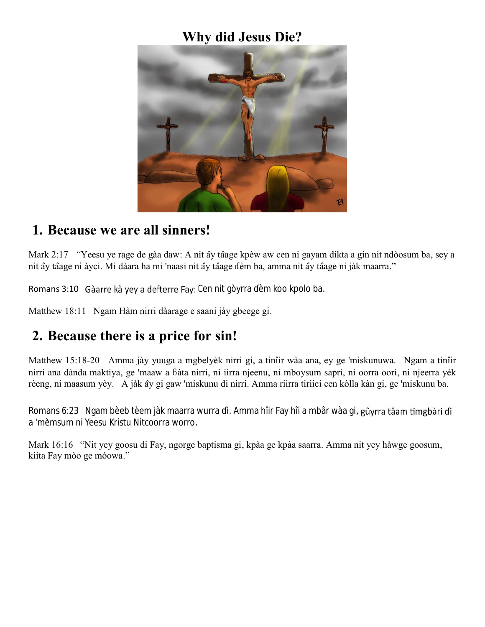# **Why did Jesus Die?**



#### **1. Because we are all sinners!**

Mark 2:17 *"Yeesu ye rage de gàa daw: A nit ây tâage kpèw aw cen ni gayam dikta a gin nit ndòosum ba, sey a* nit ây tâage ni àyci. Mi dàara ha mi 'naasi nit ây tâage dèm ba, amma nit ây tâage ni jàk maarra."

Romans 3:10 Gàarre kà yey a defterre Fay: Cen nit gòyrra èm koo kpolo ba.

Matthew 18:11 Ngam Hàm nirri dàarage e saani jày gbeege gi.

## **2. Because there is a price for sin!**

Matthew 15:18-20 Amma jày yuuga a mgbelyèk nirri gi, a tinîir wàa ana, ey ge 'miskunuwa. Ngam a tinîir nirri ana dànda maktiya, ge 'maaw a ɓàta nirri, ni iirra njeenu, ni mboysum sapri, ni oorra oori, ni njeerra yèk rèeng, ni maasum yèy. A jàk ây gi gaw 'miskunu di nirri. Amma riirra tiriici cen kòlla kàn gi, ge 'miskunu ba.

Romans 6:23 Ngam bèeb tèem jàk maarra wurra i. Amma hîir Fay hîi a mbâr wàa gi, gûyrra tâam timgbàri di a 'mèmsum ni Yeesu Kristu Nitcoorra worro.

Mark 16:16 "Nit yey goosu di Fay, ngorge baptisma gi, kpàa ge kpàa saarra. Amma nit yey hàwge goosum, kiita Fay mòo ge mòowa."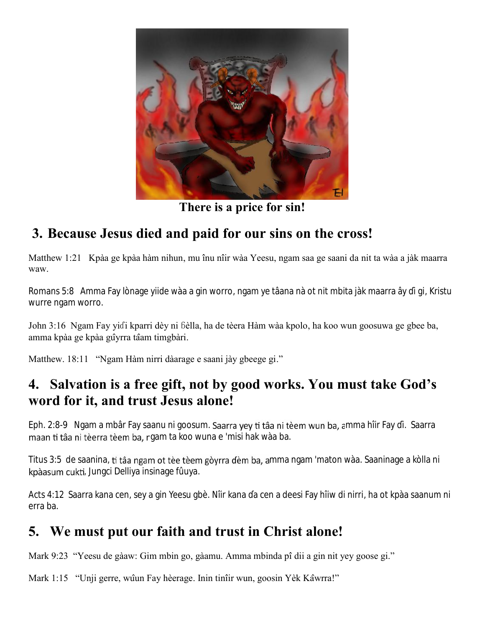

**There is a price for sin!**

### **3. Because Jesus died and paid for our sins on the cross!**

Matthew 1:21 Kpàa ge kpàa hàm nihun, mu înu nîir wàa Yeesu, ngam saa ge saani da nit ta wàa a jàk maarra waw.

Romans 5:8 Amma Fay lònage yiide wàa a gin worro, ngam ye tâana nà ot nit mbita jàk maarra ây i gi, Kristu wurre ngam worro.

John 3:16 Ngam Fay yiɗi kparri dèy ni ɓèlla, ha de tèera Hàm wàa kpolo, ha koo wun goosuwa ge gbee ba, amma kpàa ge kpàa gûyrra tâam timgbàri.

Matthew. 18:11 "Ngam Hàm nirri dàarage e saani jày gbeege gi."

#### **4. Salvation is a free gift, not by good works. You must take God's word for it, and trust Jesus alone!**

Eph. 2:8-9 Ngam a mbâr Fay saanu ni goosum. Saarra yey ti tâa ni tèem wun ba, amma hîir Fay i. Saarra maan ti tâa ni tèerra tèem ba, ngam ta koo wuna e 'misi hak wàa ba.

Titus 3:5 de saanina, ti tâa ngam ot tèe tèem gòyrra dèm ba, amma ngam 'maton wàa. Saaninage a kòlla ni kpàasum cukti, Jungci Delliya insinage fûuya.

Acts 4:12 Saarra kana cen, sey a gin Yeesu gbè. Nîir kana a cen a deesi Fay hîiw di nirri, ha ot kpàa saanum ni erra ba.

### **5. We must put our faith and trust in Christ alone!**

Mark 9:23 "Yeesu de gàaw: Gim mbin go, gàamu. Amma mbinda pîdii a gin nit yey goose gi."

Mark 1:15 "Unji gerre, wûun Fay hèerage. Inin tinîir wun, goosin Yèk Kâwrra!"